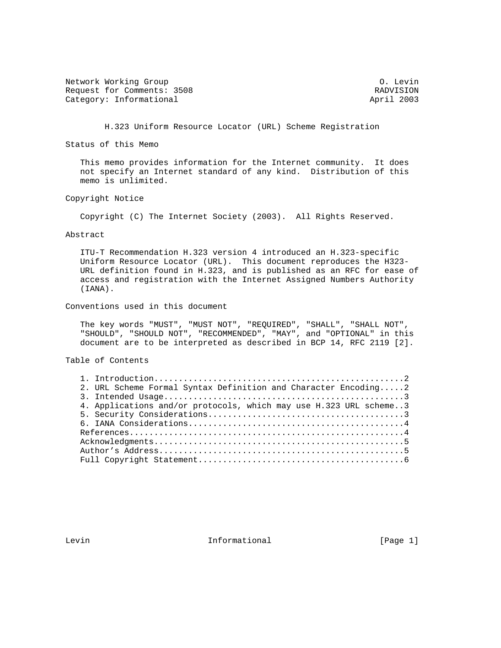Network Working Group Communication of the United States of the United States of the O. Levin Request for Comments: 3508 RADVISION RADVISION<br>
Category: Informational Request of April 2003 Category: Informational

H.323 Uniform Resource Locator (URL) Scheme Registration

Status of this Memo

 This memo provides information for the Internet community. It does not specify an Internet standard of any kind. Distribution of this memo is unlimited.

Copyright Notice

Copyright (C) The Internet Society (2003). All Rights Reserved.

Abstract

 ITU-T Recommendation H.323 version 4 introduced an H.323-specific Uniform Resource Locator (URL). This document reproduces the H323- URL definition found in H.323, and is published as an RFC for ease of access and registration with the Internet Assigned Numbers Authority (IANA).

Conventions used in this document

 The key words "MUST", "MUST NOT", "REQUIRED", "SHALL", "SHALL NOT", "SHOULD", "SHOULD NOT", "RECOMMENDED", "MAY", and "OPTIONAL" in this document are to be interpreted as described in BCP 14, RFC 2119 [2].

Table of Contents

| 2. URL Scheme Formal Syntax Definition and Character Encoding2    |  |
|-------------------------------------------------------------------|--|
|                                                                   |  |
| 4. Applications and/or protocols, which may use H.323 URL scheme3 |  |
|                                                                   |  |
|                                                                   |  |
|                                                                   |  |
|                                                                   |  |
|                                                                   |  |
|                                                                   |  |

Levin **Informational Informational** [Page 1]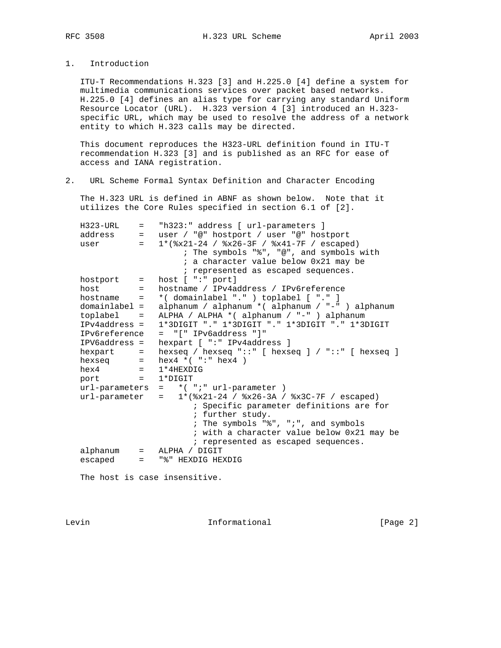1. Introduction

 ITU-T Recommendations H.323 [3] and H.225.0 [4] define a system for multimedia communications services over packet based networks. H.225.0 [4] defines an alias type for carrying any standard Uniform Resource Locator (URL). H.323 version 4 [3] introduced an H.323 specific URL, which may be used to resolve the address of a network entity to which H.323 calls may be directed.

 This document reproduces the H323-URL definition found in ITU-T recommendation H.323 [3] and is published as an RFC for ease of access and IANA registration.

2. URL Scheme Formal Syntax Definition and Character Encoding

 The H.323 URL is defined in ABNF as shown below. Note that it utilizes the Core Rules specified in section 6.1 of [2].

| $H323 - URL$             | $=$               | "h323:" address [ url-parameters ]                     |
|--------------------------|-------------------|--------------------------------------------------------|
| address                  | $=$               | user / "@" hostport / user "@" hostport                |
| user                     | $=$               | $1*(8x21-24 / 8x26-3F / 8x41-7F /  escaped)$           |
|                          |                   | ; The symbols "%", "@", and symbols with               |
|                          |                   | ; a character value below 0x21 may be                  |
|                          |                   | ; represented as escaped sequences.                    |
| hostport =               |                   | host $[$ ":" port]                                     |
| host                     |                   | hostname / IPv4address / IPv6reference                 |
| $hostname =$             |                   | *( domainlabel "." ) toplabel [ "." ]                  |
| domainlabel =            |                   | alphanum / alphanum * ( alphanum / "-" ) alphanum      |
| toplabel                 | $\qquad \qquad =$ | ALPHA / ALPHA * ( alphanum / "-" ) alphanum            |
| $IPv4address =$          |                   | 1*3DIGIT "." 1*3DIGIT "." 1*3DIGIT "." 1*3DIGIT        |
| IPv6reference            |                   | $=$ "[" IPv6address "]"                                |
| IPV6address =            |                   | hexpart [ ":" IPv4address ]                            |
| hexpart =                |                   | hexseq / hexseq "::" [ hexseq ] / "::" [ hexseq ]      |
| hexseq                   | $=$ $-$           | hex4 $*( " : " hex4 )$                                 |
| hex4<br><u> 대한 대한 대학</u> |                   | $1*4$ HEXDIG                                           |
| port =                   |                   | 1*DIGIT                                                |
| url-parameters           |                   | $=$ *(";" url-parameter)                               |
| url-parameter            |                   | $1*(8x21-24 / 8x26-3A / 8x3C-7F / escaped)$<br>$=$ $-$ |
|                          |                   | ; Specific parameter definitions are for               |
|                          |                   | ; further study.                                       |
|                          |                   | ; The symbols "%", ";", and symbols                    |
|                          |                   | ; with a character value below 0x21 may be             |
|                          |                   | ; represented as escaped sequences.                    |
| alphanum                 |                   | $=$ ALPHA / DIGIT                                      |
| escaped                  | $=$               | "%" HEXDIG HEXDIG                                      |
|                          |                   |                                                        |
|                          |                   |                                                        |

The host is case insensitive.

Levin **Informational Informational** [Page 2]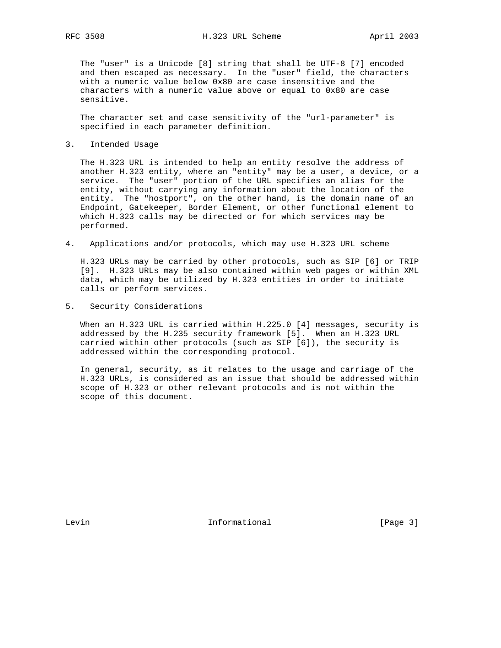The "user" is a Unicode [8] string that shall be UTF-8 [7] encoded and then escaped as necessary. In the "user" field, the characters with a numeric value below 0x80 are case insensitive and the characters with a numeric value above or equal to 0x80 are case sensitive.

 The character set and case sensitivity of the "url-parameter" is specified in each parameter definition.

3. Intended Usage

 The H.323 URL is intended to help an entity resolve the address of another H.323 entity, where an "entity" may be a user, a device, or a service. The "user" portion of the URL specifies an alias for the entity, without carrying any information about the location of the entity. The "hostport", on the other hand, is the domain name of an Endpoint, Gatekeeper, Border Element, or other functional element to which H.323 calls may be directed or for which services may be performed.

4. Applications and/or protocols, which may use H.323 URL scheme

 H.323 URLs may be carried by other protocols, such as SIP [6] or TRIP [9]. H.323 URLs may be also contained within web pages or within XML data, which may be utilized by H.323 entities in order to initiate calls or perform services.

5. Security Considerations

 When an H.323 URL is carried within H.225.0 [4] messages, security is addressed by the H.235 security framework [5]. When an H.323 URL carried within other protocols (such as SIP [6]), the security is addressed within the corresponding protocol.

 In general, security, as it relates to the usage and carriage of the H.323 URLs, is considered as an issue that should be addressed within scope of H.323 or other relevant protocols and is not within the scope of this document.

Levin **Informational Informational** [Page 3]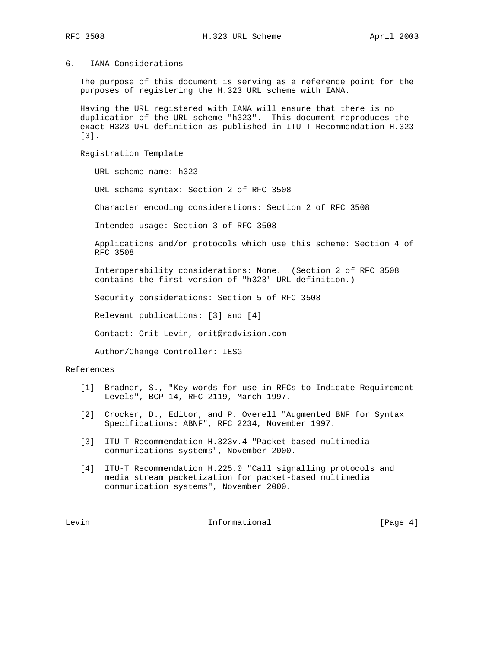## 6. IANA Considerations

 The purpose of this document is serving as a reference point for the purposes of registering the H.323 URL scheme with IANA.

 Having the URL registered with IANA will ensure that there is no duplication of the URL scheme "h323". This document reproduces the exact H323-URL definition as published in ITU-T Recommendation H.323 [3].

Registration Template

URL scheme name: h323

URL scheme syntax: Section 2 of RFC 3508

Character encoding considerations: Section 2 of RFC 3508

Intended usage: Section 3 of RFC 3508

 Applications and/or protocols which use this scheme: Section 4 of RFC 3508

 Interoperability considerations: None. (Section 2 of RFC 3508 contains the first version of "h323" URL definition.)

Security considerations: Section 5 of RFC 3508

Relevant publications: [3] and [4]

Contact: Orit Levin, orit@radvision.com

Author/Change Controller: IESG

## References

- [1] Bradner, S., "Key words for use in RFCs to Indicate Requirement Levels", BCP 14, RFC 2119, March 1997.
- [2] Crocker, D., Editor, and P. Overell "Augmented BNF for Syntax Specifications: ABNF", RFC 2234, November 1997.
- [3] ITU-T Recommendation H.323v.4 "Packet-based multimedia communications systems", November 2000.
- [4] ITU-T Recommendation H.225.0 "Call signalling protocols and media stream packetization for packet-based multimedia communication systems", November 2000.

Levin **Informational Informational** [Page 4]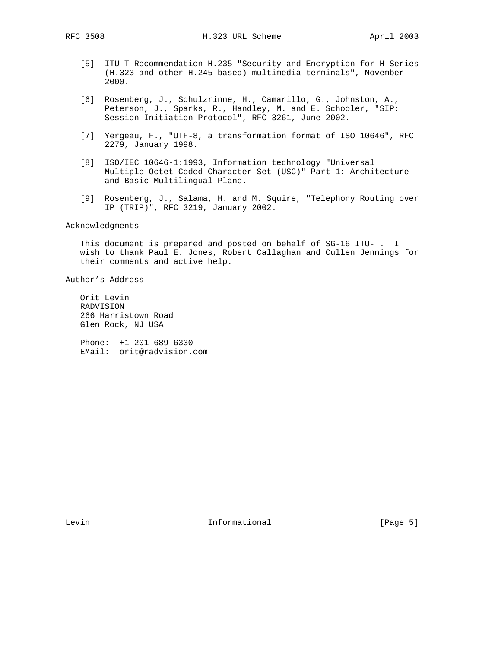- [5] ITU-T Recommendation H.235 "Security and Encryption for H Series (H.323 and other H.245 based) multimedia terminals", November 2000.
- [6] Rosenberg, J., Schulzrinne, H., Camarillo, G., Johnston, A., Peterson, J., Sparks, R., Handley, M. and E. Schooler, "SIP: Session Initiation Protocol", RFC 3261, June 2002.
- [7] Yergeau, F., "UTF-8, a transformation format of ISO 10646", RFC 2279, January 1998.
- [8] ISO/IEC 10646-1:1993, Information technology "Universal Multiple-Octet Coded Character Set (USC)" Part 1: Architecture and Basic Multilingual Plane.
- [9] Rosenberg, J., Salama, H. and M. Squire, "Telephony Routing over IP (TRIP)", RFC 3219, January 2002.

## Acknowledgments

 This document is prepared and posted on behalf of SG-16 ITU-T. I wish to thank Paul E. Jones, Robert Callaghan and Cullen Jennings for their comments and active help.

Author's Address

 Orit Levin RADVISION 266 Harristown Road Glen Rock, NJ USA

 Phone: +1-201-689-6330 EMail: orit@radvision.com

Levin **Informational Informational** [Page 5]